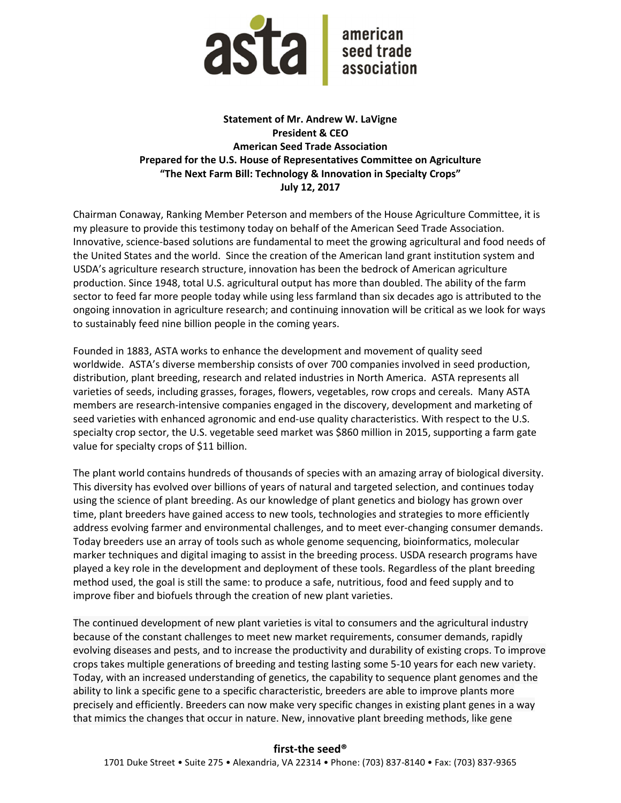

## Statement of Mr. Andrew W. LaVigne President & CEO American Seed Trade Association Prepared for the U.S. House of Representatives Committee on Agriculture "The Next Farm Bill: Technology & Innovation in Specialty Crops" July 12, 2017

Chairman Conaway, Ranking Member Peterson and members of the House Agriculture Committee, it is my pleasure to provide this testimony today on behalf of the American Seed Trade Association. Innovative, science-based solutions are fundamental to meet the growing agricultural and food needs of the United States and the world. Since the creation of the American land grant institution system and USDA's agriculture research structure, innovation has been the bedrock of American agriculture production. Since 1948, total U.S. agricultural output has more than doubled. The ability of the farm sector to feed far more people today while using less farmland than six decades ago is attributed to the ongoing innovation in agriculture research; and continuing innovation will be critical as we look for ways to sustainably feed nine billion people in the coming years.

Founded in 1883, ASTA works to enhance the development and movement of quality seed worldwide. ASTA's diverse membership consists of over 700 companies involved in seed production, distribution, plant breeding, research and related industries in North America. ASTA represents all varieties of seeds, including grasses, forages, flowers, vegetables, row crops and cereals. Many ASTA members are research-intensive companies engaged in the discovery, development and marketing of seed varieties with enhanced agronomic and end-use quality characteristics. With respect to the U.S. specialty crop sector, the U.S. vegetable seed market was \$860 million in 2015, supporting a farm gate value for specialty crops of \$11 billion.

The plant world contains hundreds of thousands of species with an amazing array of biological diversity. This diversity has evolved over billions of years of natural and targeted selection, and continues today using the science of plant breeding. As our knowledge of plant genetics and biology has grown over time, plant breeders have gained access to new tools, technologies and strategies to more efficiently address evolving farmer and environmental challenges, and to meet ever-changing consumer demands. Today breeders use an array of tools such as whole genome sequencing, bioinformatics, molecular marker techniques and digital imaging to assist in the breeding process. USDA research programs have played a key role in the development and deployment of these tools. Regardless of the plant breeding method used, the goal is still the same: to produce a safe, nutritious, food and feed supply and to improve fiber and biofuels through the creation of new plant varieties.

The continued development of new plant varieties is vital to consumers and the agricultural industry because of the constant challenges to meet new market requirements, consumer demands, rapidly evolving diseases and pests, and to increase the productivity and durability of existing crops. To improve crops takes multiple generations of breeding and testing lasting some 5-10 years for each new variety. Today, with an increased understanding of genetics, the capability to sequence plant genomes and the ability to link a specific gene to a specific characteristic, breeders are able to improve plants more precisely and efficiently. Breeders can now make very specific changes in existing plant genes in a way that mimics the changes that occur in nature. New, innovative plant breeding methods, like gene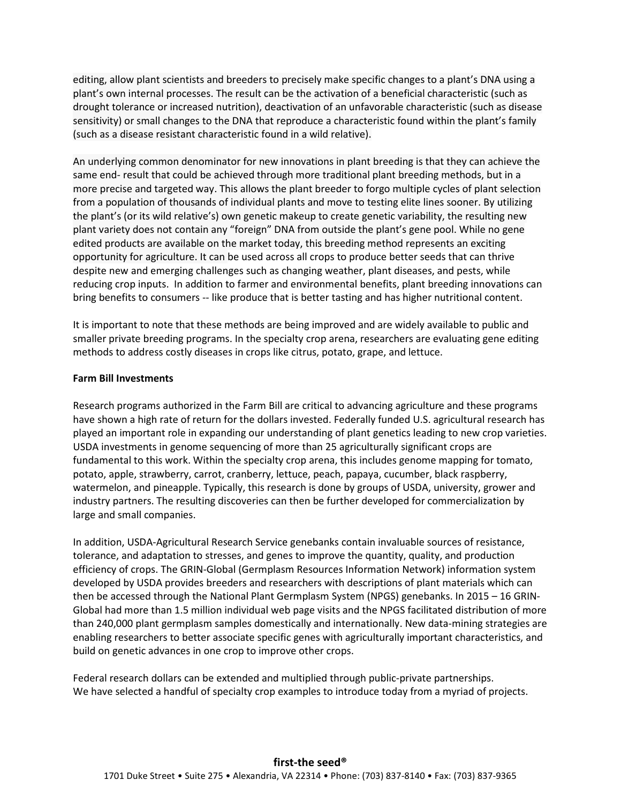editing, allow plant scientists and breeders to precisely make specific changes to a plant's DNA using a plant's own internal processes. The result can be the activation of a beneficial characteristic (such as drought tolerance or increased nutrition), deactivation of an unfavorable characteristic (such as disease sensitivity) or small changes to the DNA that reproduce a characteristic found within the plant's family (such as a disease resistant characteristic found in a wild relative).

An underlying common denominator for new innovations in plant breeding is that they can achieve the same end- result that could be achieved through more traditional plant breeding methods, but in a more precise and targeted way. This allows the plant breeder to forgo multiple cycles of plant selection from a population of thousands of individual plants and move to testing elite lines sooner. By utilizing the plant's (or its wild relative's) own genetic makeup to create genetic variability, the resulting new plant variety does not contain any "foreign" DNA from outside the plant's gene pool. While no gene edited products are available on the market today, this breeding method represents an exciting opportunity for agriculture. It can be used across all crops to produce better seeds that can thrive despite new and emerging challenges such as changing weather, plant diseases, and pests, while reducing crop inputs. In addition to farmer and environmental benefits, plant breeding innovations can bring benefits to consumers -- like produce that is better tasting and has higher nutritional content.

It is important to note that these methods are being improved and are widely available to public and smaller private breeding programs. In the specialty crop arena, researchers are evaluating gene editing methods to address costly diseases in crops like citrus, potato, grape, and lettuce.

## Farm Bill Investments

Research programs authorized in the Farm Bill are critical to advancing agriculture and these programs have shown a high rate of return for the dollars invested. Federally funded U.S. agricultural research has played an important role in expanding our understanding of plant genetics leading to new crop varieties. USDA investments in genome sequencing of more than 25 agriculturally significant crops are fundamental to this work. Within the specialty crop arena, this includes genome mapping for tomato, potato, apple, strawberry, carrot, cranberry, lettuce, peach, papaya, cucumber, black raspberry, watermelon, and pineapple. Typically, this research is done by groups of USDA, university, grower and industry partners. The resulting discoveries can then be further developed for commercialization by large and small companies.

In addition, USDA-Agricultural Research Service genebanks contain invaluable sources of resistance, tolerance, and adaptation to stresses, and genes to improve the quantity, quality, and production efficiency of crops. The GRIN-Global (Germplasm Resources Information Network) information system developed by USDA provides breeders and researchers with descriptions of plant materials which can then be accessed through the National Plant Germplasm System (NPGS) genebanks. In 2015 – 16 GRIN-Global had more than 1.5 million individual web page visits and the NPGS facilitated distribution of more than 240,000 plant germplasm samples domestically and internationally. New data-mining strategies are enabling researchers to better associate specific genes with agriculturally important characteristics, and build on genetic advances in one crop to improve other crops.

Federal research dollars can be extended and multiplied through public-private partnerships. We have selected a handful of specialty crop examples to introduce today from a myriad of projects.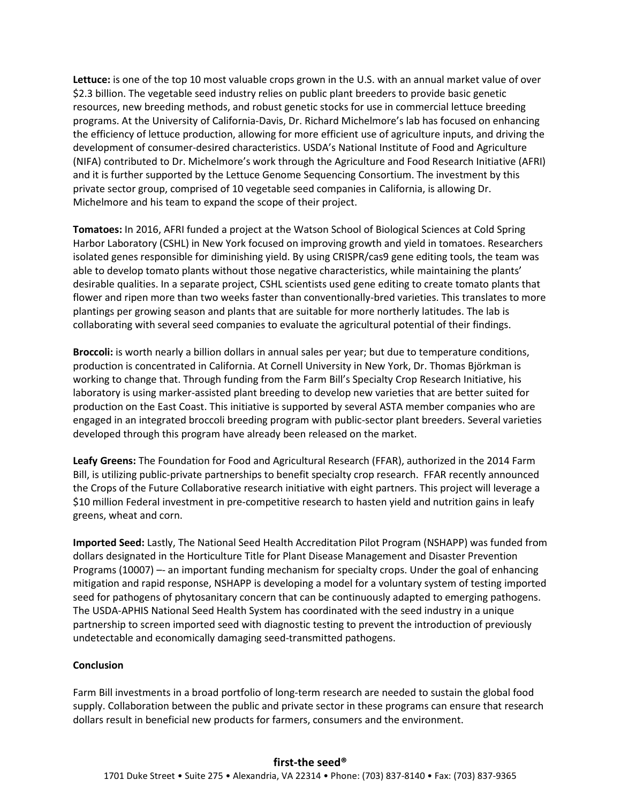Lettuce: is one of the top 10 most valuable crops grown in the U.S. with an annual market value of over \$2.3 billion. The vegetable seed industry relies on public plant breeders to provide basic genetic resources, new breeding methods, and robust genetic stocks for use in commercial lettuce breeding programs. At the University of California-Davis, Dr. Richard Michelmore's lab has focused on enhancing the efficiency of lettuce production, allowing for more efficient use of agriculture inputs, and driving the development of consumer-desired characteristics. USDA's National Institute of Food and Agriculture (NIFA) contributed to Dr. Michelmore's work through the Agriculture and Food Research Initiative (AFRI) and it is further supported by the Lettuce Genome Sequencing Consortium. The investment by this private sector group, comprised of 10 vegetable seed companies in California, is allowing Dr. Michelmore and his team to expand the scope of their project.

Tomatoes: In 2016, AFRI funded a project at the Watson School of Biological Sciences at Cold Spring Harbor Laboratory (CSHL) in New York focused on improving growth and yield in tomatoes. Researchers isolated genes responsible for diminishing yield. By using CRISPR/cas9 gene editing tools, the team was able to develop tomato plants without those negative characteristics, while maintaining the plants' desirable qualities. In a separate project, CSHL scientists used gene editing to create tomato plants that flower and ripen more than two weeks faster than conventionally-bred varieties. This translates to more plantings per growing season and plants that are suitable for more northerly latitudes. The lab is collaborating with several seed companies to evaluate the agricultural potential of their findings.

Broccoli: is worth nearly a billion dollars in annual sales per year; but due to temperature conditions, production is concentrated in California. At Cornell University in New York, Dr. Thomas Björkman is working to change that. Through funding from the Farm Bill's Specialty Crop Research Initiative, his laboratory is using marker-assisted plant breeding to develop new varieties that are better suited for production on the East Coast. This initiative is supported by several ASTA member companies who are engaged in an integrated broccoli breeding program with public-sector plant breeders. Several varieties developed through this program have already been released on the market.

Leafy Greens: The Foundation for Food and Agricultural Research (FFAR), authorized in the 2014 Farm Bill, is utilizing public-private partnerships to benefit specialty crop research. FFAR recently announced the Crops of the Future Collaborative research initiative with eight partners. This project will leverage a \$10 million Federal investment in pre-competitive research to hasten yield and nutrition gains in leafy greens, wheat and corn.

Imported Seed: Lastly, The National Seed Health Accreditation Pilot Program (NSHAPP) was funded from dollars designated in the Horticulture Title for Plant Disease Management and Disaster Prevention Programs (10007) –- an important funding mechanism for specialty crops. Under the goal of enhancing mitigation and rapid response, NSHAPP is developing a model for a voluntary system of testing imported seed for pathogens of phytosanitary concern that can be continuously adapted to emerging pathogens. The USDA-APHIS National Seed Health System has coordinated with the seed industry in a unique partnership to screen imported seed with diagnostic testing to prevent the introduction of previously undetectable and economically damaging seed-transmitted pathogens.

## **Conclusion**

Farm Bill investments in a broad portfolio of long-term research are needed to sustain the global food supply. Collaboration between the public and private sector in these programs can ensure that research dollars result in beneficial new products for farmers, consumers and the environment.